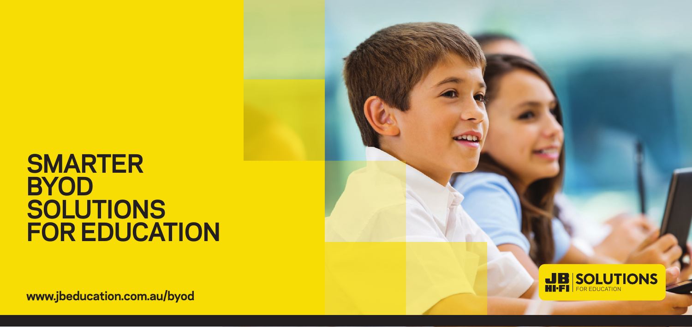## **SMARTER BYOD SOLUTIONS FOR EDUCATION**

**EXAMPLE INCREDUCATION WWW.jbeducation.com.au/byod <b>www.jbeducation.com.au/byod www.jbeducation.com.au/byod**